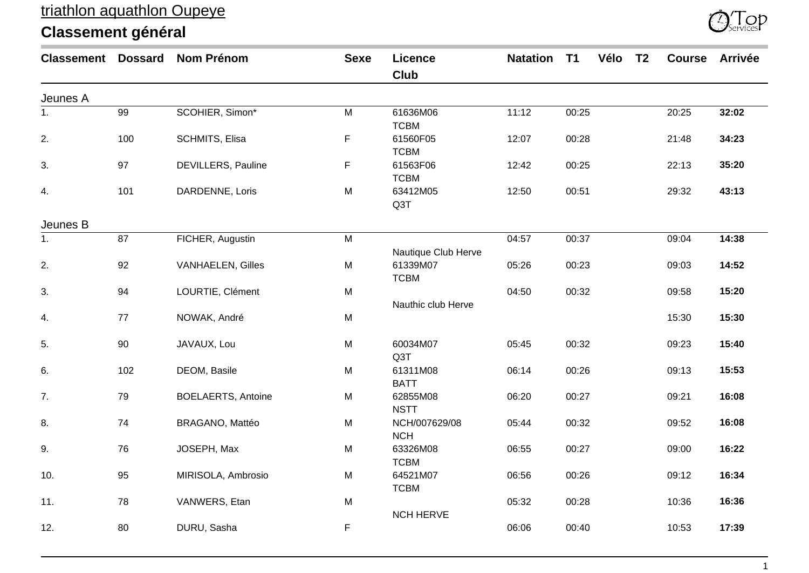

| <b>Classement Dossard</b> |     | <b>Nom Prénom</b>         | <b>Sexe</b> | <b>Licence</b><br>Club      | <b>Natation</b> | T1    | Vélo | T <sub>2</sub> | <b>Course</b> | <b>Arrivée</b> |
|---------------------------|-----|---------------------------|-------------|-----------------------------|-----------------|-------|------|----------------|---------------|----------------|
| Jeunes A                  |     |                           |             |                             |                 |       |      |                |               |                |
| $\overline{1}$ .          | 99  | SCOHIER, Simon*           | ${\sf M}$   | 61636M06<br><b>TCBM</b>     | 11:12           | 00:25 |      |                | 20:25         | 32:02          |
| 2.                        | 100 | SCHMITS, Elisa            | F           | 61560F05<br><b>TCBM</b>     | 12:07           | 00:28 |      |                | 21:48         | 34:23          |
| 3.                        | 97  | <b>DEVILLERS, Pauline</b> | F           | 61563F06<br><b>TCBM</b>     | 12:42           | 00:25 |      |                | 22:13         | 35:20          |
| 4.                        | 101 | DARDENNE, Loris           | M           | 63412M05<br>Q3T             | 12:50           | 00:51 |      |                | 29:32         | 43:13          |
| Jeunes B                  |     |                           |             |                             |                 |       |      |                |               |                |
| 1.                        | 87  | FICHER, Augustin          | ${\sf M}$   | Nautique Club Herve         | 04:57           | 00:37 |      |                | 09:04         | 14:38          |
| 2.                        | 92  | <b>VANHAELEN, Gilles</b>  | M           | 61339M07<br><b>TCBM</b>     | 05:26           | 00:23 |      |                | 09:03         | 14:52          |
| 3.                        | 94  | LOURTIE, Clément          | M           | Nauthic club Herve          | 04:50           | 00:32 |      |                | 09:58         | 15:20          |
| 4.                        | 77  | NOWAK, André              | M           |                             |                 |       |      |                | 15:30         | 15:30          |
| 5.                        | 90  | JAVAUX, Lou               | M           | 60034M07<br>Q3T             | 05:45           | 00:32 |      |                | 09:23         | 15:40          |
| 6.                        | 102 | DEOM, Basile              | M           | 61311M08<br><b>BATT</b>     | 06:14           | 00:26 |      |                | 09:13         | 15:53          |
| 7.                        | 79  | <b>BOELAERTS, Antoine</b> | M           | 62855M08<br><b>NSTT</b>     | 06:20           | 00:27 |      |                | 09:21         | 16:08          |
| 8.                        | 74  | BRAGANO, Mattéo           | M           | NCH/007629/08<br><b>NCH</b> | 05:44           | 00:32 |      |                | 09:52         | 16:08          |
| 9.                        | 76  | JOSEPH, Max               | M           | 63326M08<br><b>TCBM</b>     | 06:55           | 00:27 |      |                | 09:00         | 16:22          |
| 10.                       | 95  | MIRISOLA, Ambrosio        | M           | 64521M07<br><b>TCBM</b>     | 06:56           | 00:26 |      |                | 09:12         | 16:34          |
| 11.                       | 78  | VANWERS, Etan             | M           | <b>NCH HERVE</b>            | 05:32           | 00:28 |      |                | 10:36         | 16:36          |
| 12.                       | 80  | DURU, Sasha               | F           |                             | 06:06           | 00:40 |      |                | 10:53         | 17:39          |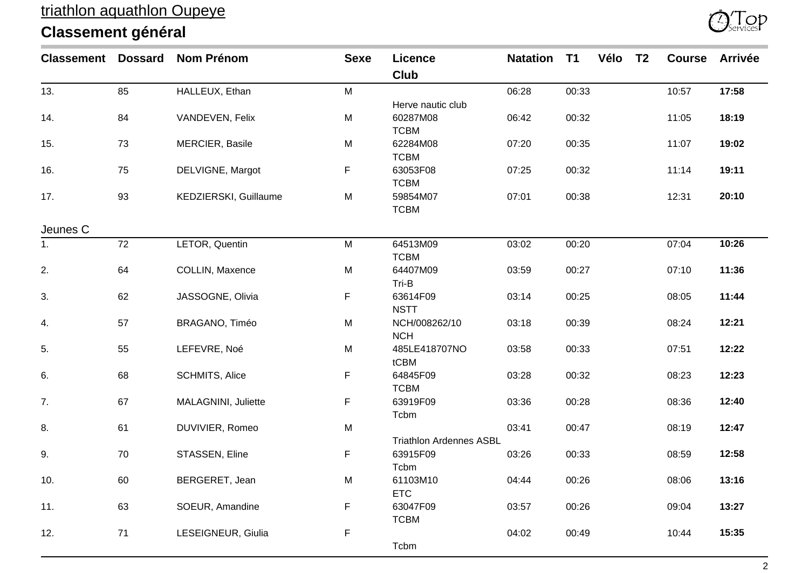

| <b>Classement Dossard</b> |    | <b>Nom Prénom</b>     | <b>Sexe</b> | <b>Licence</b><br><b>Club</b>  | <b>Natation</b> | T1    | Vélo | T <sub>2</sub> | <b>Course</b> | <b>Arrivée</b> |
|---------------------------|----|-----------------------|-------------|--------------------------------|-----------------|-------|------|----------------|---------------|----------------|
| 13.                       | 85 | HALLEUX, Ethan        | M           |                                | 06:28           | 00:33 |      |                | 10:57         | 17:58          |
|                           |    |                       |             | Herve nautic club              |                 |       |      |                |               |                |
| 14.                       | 84 | VANDEVEN, Felix       | M           | 60287M08                       | 06:42           | 00:32 |      |                | 11:05         | 18:19          |
|                           |    |                       |             | <b>TCBM</b>                    |                 |       |      |                |               |                |
| 15.                       | 73 | MERCIER, Basile       | M           | 62284M08                       | 07:20           | 00:35 |      |                | 11:07         | 19:02          |
|                           |    |                       |             | <b>TCBM</b>                    |                 |       |      |                |               |                |
| 16.                       | 75 | DELVIGNE, Margot      | F.          | 63053F08                       | 07:25           | 00:32 |      |                | 11:14         | 19:11          |
|                           |    |                       |             | <b>TCBM</b>                    |                 |       |      |                |               |                |
| 17.                       | 93 | KEDZIERSKI, Guillaume | M           | 59854M07                       | 07:01           | 00:38 |      |                | 12:31         | 20:10          |
|                           |    |                       |             | <b>TCBM</b>                    |                 |       |      |                |               |                |
| Jeunes C                  |    |                       |             |                                |                 |       |      |                |               |                |
| 1.                        | 72 | LETOR, Quentin        | M           | 64513M09                       | 03:02           | 00:20 |      |                | 07:04         | 10:26          |
|                           |    |                       |             | <b>TCBM</b>                    |                 |       |      |                |               |                |
| 2.                        | 64 | COLLIN, Maxence       | M           | 64407M09                       | 03:59           | 00:27 |      |                | 07:10         | 11:36          |
|                           |    |                       |             | Tri-B                          |                 |       |      |                |               |                |
| 3.                        | 62 | JASSOGNE, Olivia      | F.          | 63614F09                       | 03:14           | 00:25 |      |                | 08:05         | 11:44          |
|                           |    |                       |             | <b>NSTT</b>                    |                 |       |      |                |               |                |
| 4.                        | 57 | BRAGANO, Timéo        | M           | NCH/008262/10                  | 03:18           | 00:39 |      |                | 08:24         | 12:21          |
|                           |    |                       |             | <b>NCH</b>                     |                 |       |      |                |               |                |
| 5.                        | 55 | LEFEVRE, Noé          | M           | 485LE418707NO                  | 03:58           | 00:33 |      |                | 07:51         | 12:22          |
|                           |    |                       |             | tCBM                           |                 |       |      |                |               |                |
| 6.                        | 68 | <b>SCHMITS, Alice</b> | F.          | 64845F09                       | 03:28           | 00:32 |      |                | 08:23         | 12:23          |
|                           |    |                       |             | <b>TCBM</b>                    |                 |       |      |                |               |                |
| 7.                        | 67 | MALAGNINI, Juliette   | F           | 63919F09                       | 03:36           | 00:28 |      |                | 08:36         | 12:40          |
|                           |    |                       |             | Tcbm                           |                 |       |      |                |               |                |
| 8.                        | 61 | DUVIVIER, Romeo       | M           |                                | 03:41           | 00:47 |      |                | 08:19         | 12:47          |
|                           |    |                       |             | <b>Triathlon Ardennes ASBL</b> |                 |       |      |                |               |                |
| 9.                        | 70 | STASSEN, Eline        | F.          | 63915F09                       | 03:26           | 00:33 |      |                | 08:59         | 12:58          |
|                           |    |                       |             | Tcbm                           |                 |       |      |                |               |                |
| 10.                       | 60 | BERGERET, Jean        | M           | 61103M10                       | 04:44           | 00:26 |      |                | 08:06         | 13:16          |
|                           |    |                       |             | <b>ETC</b>                     |                 |       |      |                |               |                |
| 11.                       | 63 | SOEUR, Amandine       | F           | 63047F09                       | 03:57           | 00:26 |      |                | 09:04         | 13:27          |
|                           |    |                       |             | <b>TCBM</b>                    |                 |       |      |                |               |                |
| 12.                       | 71 | LESEIGNEUR, Giulia    | F           |                                | 04:02           | 00:49 |      |                | 10:44         | 15:35          |
|                           |    |                       |             | Tcbm                           |                 |       |      |                |               |                |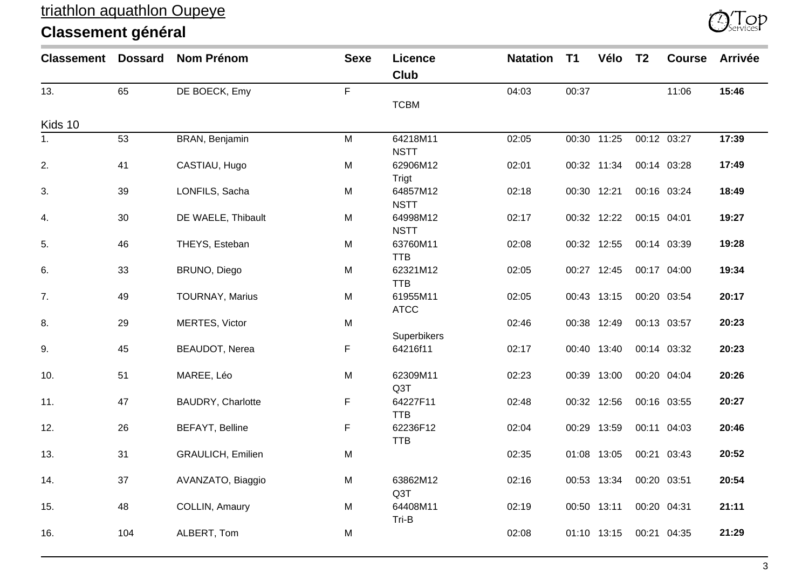

| <b>Classement</b> | <b>Dossard</b> | <b>Nom Prénom</b>        | <b>Sexe</b> | <b>Licence</b> | <b>Natation</b> | T <sub>1</sub> | Vélo        | T <sub>2</sub> | <b>Course</b> | <b>Arrivée</b> |
|-------------------|----------------|--------------------------|-------------|----------------|-----------------|----------------|-------------|----------------|---------------|----------------|
|                   |                |                          |             | Club           |                 |                |             |                |               |                |
| 13.               | 65             | DE BOECK, Emy            | F           |                | 04:03           | 00:37          |             |                | 11:06         | 15:46          |
|                   |                |                          |             | <b>TCBM</b>    |                 |                |             |                |               |                |
| Kids 10           |                |                          |             |                |                 |                |             |                |               |                |
| 1.                | 53             | BRAN, Benjamin           | M           | 64218M11       | 02:05           |                | 00:30 11:25 |                | 00:12 03:27   | 17:39          |
|                   |                |                          |             | <b>NSTT</b>    |                 |                |             |                |               |                |
| 2.                | 41             | CASTIAU, Hugo            | M           | 62906M12       | 02:01           |                | 00:32 11:34 | 00:14 03:28    |               | 17:49          |
|                   |                |                          |             | Trigt          |                 |                |             |                |               |                |
| 3.                | 39             | LONFILS, Sacha           | M           | 64857M12       | 02:18           | 00:30 12:21    |             | 00:16 03:24    |               | 18:49          |
|                   |                |                          |             | <b>NSTT</b>    |                 |                |             |                |               |                |
| 4.                | $30\,$         | DE WAELE, Thibault       | M           | 64998M12       | 02:17           |                | 00:32 12:22 | 00:15 04:01    |               | 19:27          |
|                   |                |                          |             | <b>NSTT</b>    |                 |                |             |                |               |                |
| 5.                | 46             | THEYS, Esteban           | M           | 63760M11       | 02:08           |                | 00:32 12:55 | 00:14 03:39    |               | 19:28          |
|                   |                |                          |             | <b>TTB</b>     |                 |                |             |                |               |                |
| 6.                | 33             | BRUNO, Diego             | M           | 62321M12       | 02:05           |                | 00:27 12:45 |                | 00:17 04:00   | 19:34          |
|                   |                |                          |             | <b>TTB</b>     |                 |                |             |                |               |                |
| 7.                | 49             | <b>TOURNAY, Marius</b>   | M           | 61955M11       | 02:05           |                | 00:43 13:15 |                | 00:20 03:54   | 20:17          |
|                   |                |                          |             | <b>ATCC</b>    |                 |                |             |                |               |                |
| 8.                | 29             | MERTES, Victor           | M           |                | 02:46           |                | 00:38 12:49 | 00:13 03:57    |               | 20:23          |
|                   |                |                          |             | Superbikers    |                 |                |             |                |               |                |
| 9.                | 45             | <b>BEAUDOT, Nerea</b>    | F           | 64216f11       | 02:17           |                | 00:40 13:40 |                | 00:14 03:32   | 20:23          |
|                   |                |                          |             |                |                 |                |             |                |               |                |
| 10.               | 51             | MAREE, Léo               | M           | 62309M11       | 02:23           |                | 00:39 13:00 | 00:20 04:04    |               | 20:26          |
|                   |                |                          |             | Q3T            |                 |                |             |                |               |                |
| 11.               | 47             | BAUDRY, Charlotte        | F           | 64227F11       | 02:48           |                | 00:32 12:56 |                | 00:16 03:55   | 20:27          |
|                   |                |                          |             | <b>TTB</b>     |                 |                |             |                |               |                |
| 12.               | 26             | <b>BEFAYT, Belline</b>   | F           | 62236F12       | 02:04           |                | 00:29 13:59 | 00:11 04:03    |               | 20:46          |
|                   |                |                          |             | <b>TTB</b>     |                 |                |             |                |               |                |
| 13.               | 31             | <b>GRAULICH, Emilien</b> | M           |                | 02:35           |                | 01:08 13:05 | 00:21 03:43    |               | 20:52          |
|                   |                |                          |             |                |                 |                |             |                |               |                |
| 14.               | 37             | AVANZATO, Biaggio        | M           | 63862M12       | 02:16           |                | 00:53 13:34 | 00:20 03:51    |               | 20:54          |
|                   |                |                          |             | Q3T            |                 |                |             |                |               |                |
| 15.               | 48             | COLLIN, Amaury           | M           | 64408M11       | 02:19           | 00:50 13:11    |             | 00:20 04:31    |               | 21:11          |
|                   |                |                          |             | Tri-B          |                 |                |             |                |               |                |
| 16.               | 104            | ALBERT, Tom              | M           |                | 02:08           |                | 01:10 13:15 | 00:21 04:35    |               | 21:29          |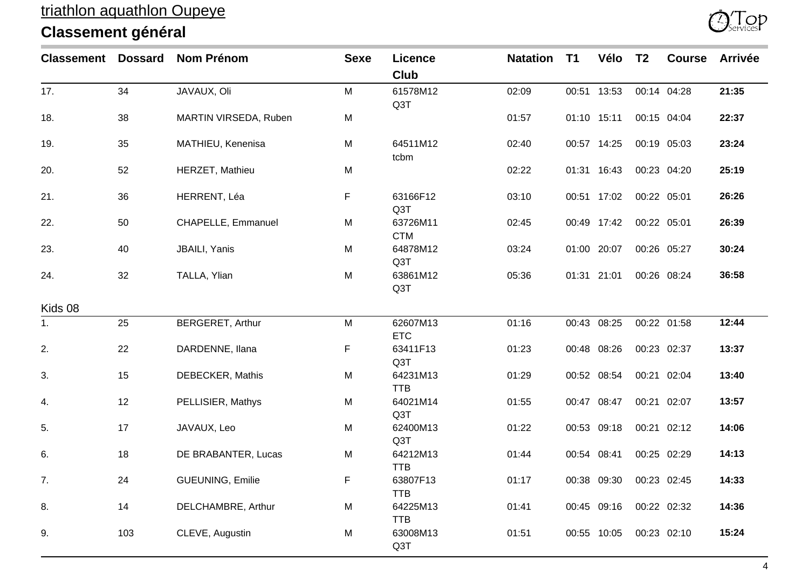

| <b>Classement Dossard</b> |     | <b>Nom Prénom</b>       | <b>Sexe</b> | <b>Licence</b>         | <b>Natation</b> | T <sub>1</sub> | Vélo        | T <sub>2</sub> | <b>Course</b> | <b>Arrivée</b> |
|---------------------------|-----|-------------------------|-------------|------------------------|-----------------|----------------|-------------|----------------|---------------|----------------|
|                           |     |                         |             | <b>Club</b>            |                 |                |             |                |               |                |
| 17.                       | 34  | JAVAUX, Oli             | M           | 61578M12<br>Q3T        | 02:09           |                | 00:51 13:53 |                | 00:14 04:28   | 21:35          |
| 18.                       | 38  | MARTIN VIRSEDA, Ruben   | M           |                        | 01:57           |                | 01:10 15:11 |                | 00:15 04:04   | 22:37          |
| 19.                       | 35  | MATHIEU, Kenenisa       | M           | 64511M12<br>tcbm       | 02:40           |                | 00:57 14:25 |                | 00:19 05:03   | 23:24          |
| 20.                       | 52  | HERZET, Mathieu         | M           |                        | 02:22           |                | 01:31 16:43 |                | 00:23 04:20   | 25:19          |
| 21.                       | 36  | HERRENT, Léa            | F           | 63166F12<br>Q3T        | 03:10           |                | 00:51 17:02 | 00:22 05:01    |               | 26:26          |
| 22.                       | 50  | CHAPELLE, Emmanuel      | M           | 63726M11<br><b>CTM</b> | 02:45           |                | 00:49 17:42 | 00:22 05:01    |               | 26:39          |
| 23.                       | 40  | JBAILI, Yanis           | M           | 64878M12<br>Q3T        | 03:24           |                | 01:00 20:07 |                | 00:26 05:27   | 30:24          |
| 24.                       | 32  | TALLA, Ylian            | M           | 63861M12<br>Q3T        | 05:36           |                | 01:31 21:01 |                | 00:26 08:24   | 36:58          |
| Kids 08                   |     |                         |             |                        |                 |                |             |                |               |                |
| 1.                        | 25  | <b>BERGERET, Arthur</b> | M           | 62607M13<br><b>ETC</b> | 01:16           |                | 00:43 08:25 |                | 00:22 01:58   | 12:44          |
| 2.                        | 22  | DARDENNE, Ilana         | F.          | 63411F13<br>Q3T        | 01:23           |                | 00:48 08:26 |                | 00:23 02:37   | 13:37          |
| 3.                        | 15  | DEBECKER, Mathis        | M           | 64231M13<br><b>TTB</b> | 01:29           |                | 00:52 08:54 |                | 00:21 02:04   | 13:40          |
| 4.                        | 12  | PELLISIER, Mathys       | M           | 64021M14<br>Q3T        | 01:55           |                | 00:47 08:47 |                | 00:21 02:07   | 13:57          |
| 5.                        | 17  | JAVAUX, Leo             | M           | 62400M13<br>Q3T        | 01:22           |                | 00:53 09:18 |                | 00:21 02:12   | 14:06          |
| 6.                        | 18  | DE BRABANTER, Lucas     | M           | 64212M13<br><b>TTB</b> | 01:44           |                | 00:54 08:41 |                | 00:25 02:29   | 14:13          |
| 7.                        | 24  | GUEUNING, Emilie        | F           | 63807F13<br><b>TTB</b> | 01:17           |                | 00:38 09:30 |                | 00:23 02:45   | 14:33          |
| 8.                        | 14  | DELCHAMBRE, Arthur      | M           | 64225M13<br><b>TTB</b> | 01:41           |                | 00:45 09:16 |                | 00:22 02:32   | 14:36          |
| 9.                        | 103 | CLEVE, Augustin         | M           | 63008M13<br>Q3T        | 01:51           |                | 00:55 10:05 |                | 00:23 02:10   | 15:24          |